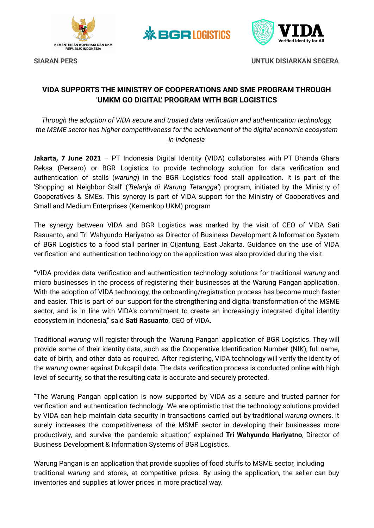



**SIARAN PERS UNTUK DISIARKAN SEGERA**

## **VIDA SUPPORTS THE MINISTRY OF COOPERATIONS AND SME PROGRAM THROUGH 'UMKM GO DIGITAL' PROGRAM WITH BGR LOGISTICS**

**※BGRIOGISTICS** 

*Through the adoption of VIDA secure and trusted data verification and authentication technology, the MSME sector has higher competitiveness for the achievement of the digital economic ecosystem in Indonesia*

**Jakarta, 7 June 2021** – PT Indonesia Digital Identity (VIDA) collaborates with PT Bhanda Ghara Reksa (Persero) or BGR Logistics to provide technology solution for data verification and authentication of stalls (*warung*) in the BGR Logistics food stall application. It is part of the 'Shopping at Neighbor Stall' (*'Belanja di Warung Tetangga'*) program, initiated by the Ministry of Cooperatives & SMEs. This synergy is part of VIDA support for the Ministry of Cooperatives and Small and Medium Enterprises (Kemenkop UKM) program

The synergy between VIDA and BGR Logistics was marked by the visit of CEO of VIDA Sati Rasuanto, and Tri Wahyundo Hariyatno as Director of Business Development & Information System of BGR Logistics to a food stall partner in Cijantung, East Jakarta. Guidance on the use of VIDA verification and authentication technology on the application was also provided during the visit.

"VIDA provides data verification and authentication technology solutions for traditional *warung* and micro businesses in the process of registering their businesses at the Warung Pangan application. With the adoption of VIDA technology, the onboarding/registration process has become much faster and easier. This is part of our support for the strengthening and digital transformation of the MSME sector, and is in line with VIDA's commitment to create an increasingly integrated digital identity ecosystem in Indonesia," said **Sati Rasuanto**, CEO of VIDA.

Traditional *warung* will register through the 'Warung Pangan' application of BGR Logistics. They will provide some of their identity data, such as the Cooperative Identification Number (NIK), full name, date of birth, and other data as required. After registering, VIDA technology will verify the identity of the *warung* owner against Dukcapil data. The data verification process is conducted online with high level of security, so that the resulting data is accurate and securely protected.

"The Warung Pangan application is now supported by VIDA as a secure and trusted partner for verification and authentication technology. We are optimistic that the technology solutions provided by VIDA can help maintain data security in transactions carried out by traditional *warung* owners. It surely increases the competitiveness of the MSME sector in developing their businesses more productively, and survive the pandemic situation," explained **Tri Wahyundo Hariyatno**, Director of Business Development & Information Systems of BGR Logistics.

Warung Pangan is an application that provide supplies of food stuffs to MSME sector, including traditional *warung* and stores, at competitive prices. By using the application, the seller can buy inventories and supplies at lower prices in more practical way.